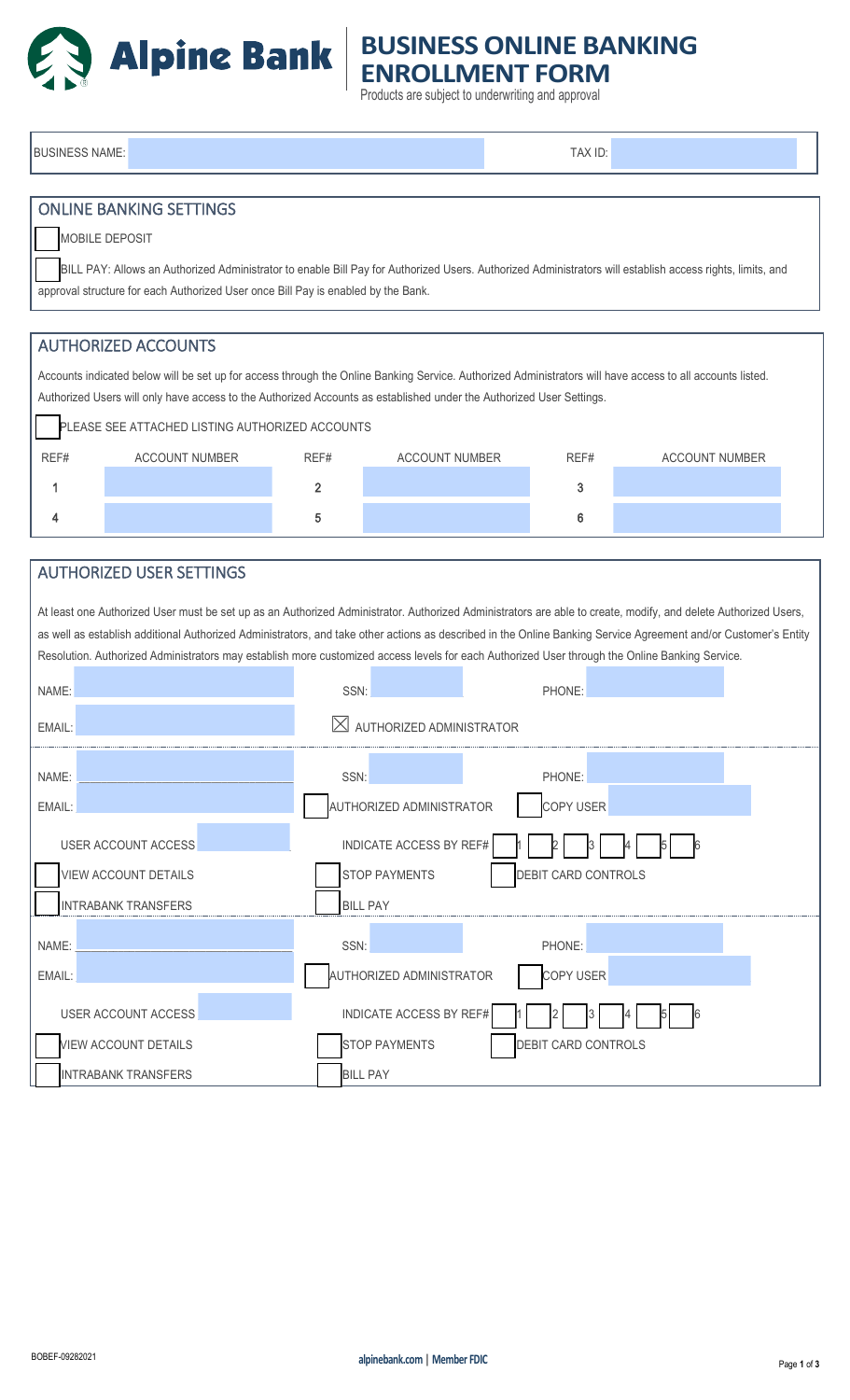

## **BUSINESS ONLINE BANKING ENROLLMENT FORM**

Products are subject to underwriting and approval

BUSINESS NAME: TAX ID: TAX ID: TAX ID: TAX ID: TAX ID: TAX ID: TAX ID: TAX ID: TAX ID: ONLINE BANKING SETTINGS MOBILE DEPOSIT BILL PAY: Allows an Authorized Administrator to enable Bill Pay for Authorized Users. Authorized Administrators will establish access rights, limits, and approval structure for each Authorized User once Bill Pay is enabled by the Bank. AUTHORIZED ACCOUNTS Accounts indicated below will be set up for access through the Online Banking Service. Authorized Administrators will have access to all accounts listed. Authorized Users will only have access to the Authorized Accounts as established under the Authorized User Settings. PLEASE SEE ATTACHED LISTING AUTHORIZED ACCOUNTS REF# ACCOUNT NUMBER REF# ACCOUNT NUMBER REF# ACCOUNT NUMBER 1 and  $\overline{a}$  3 and  $\overline{a}$  3 and  $\overline{a}$  3 and  $\overline{a}$  3 and  $\overline{a}$  3 and  $\overline{a}$  3 4 for  $\sim$  6 for  $\sim$  5 for  $\sim$  5 for  $\sim$  6 for  $\sim$  6 for  $\sim$  6 AUTHORIZED USER SETTINGS At least one Authorized User must be set up as an Authorized Administrator. Authorized Administrators are able to create, modify, and delete Authorized Users, as well as establish additional Authorized Administrators, and take other actions as described in the Online Banking Service Agreement and/or Customer's Entity Resolution. Authorized Administrators may establish more customized access levels for each Authorized User through the Online Banking Service. NAME: \_\_\_\_\_\_\_\_\_\_\_\_\_\_\_\_\_\_\_\_\_\_\_\_\_\_\_\_\_\_\_\_\_\_\_\_\_\_\_\_ SSN: \_\_\_\_\_\_\_\_\_\_\_\_\_\_\_\_\_ PHONE: \_\_\_\_\_\_\_\_\_\_\_\_\_\_\_\_\_\_\_\_\_\_\_\_\_ EMAIL: \_\_\_\_\_\_\_\_\_\_\_\_\_\_\_\_\_\_\_\_\_\_\_\_\_\_\_\_\_\_\_\_\_\_\_\_\_\_\_\_ ☒AUTHORIZED ADMINISTRATOR NAME: \_\_\_\_\_\_\_\_\_\_\_\_\_\_\_\_\_\_\_\_\_\_\_\_\_\_\_\_\_\_\_\_\_\_\_\_\_\_\_ SSN: \_\_\_\_\_\_\_\_\_\_\_\_\_\_\_\_\_ PHONE: \_\_\_\_\_\_\_\_\_\_\_\_\_\_\_\_\_\_\_\_\_\_\_\_\_ EMAIL: \_\_\_\_\_\_\_\_\_\_\_\_\_\_\_\_\_\_\_\_\_\_\_\_\_\_\_\_\_\_\_\_\_\_\_\_\_\_\_\_ AUTHORIZED ADMINISTRATOR COPY USER \_\_\_\_\_\_\_\_\_\_\_\_\_\_\_\_\_\_\_\_\_\_\_\_\_\_ USER ACCOUNT ACCESS **External and SECOUNT ACCESS**  $\blacksquare$  1 1 1 2 4 1 3 4 5 6 6 6 7 6 7 7 7 8 4 5 6 7 7 8 7 7 8 4 5 6 7 7 8 7 8 7 7 8 7 7 8 7 7 8 7 8 7 7 8 7 7 8 7 7 8 7 7 8 7 7 8 7 7 8 7 7 8 7 7 8 7 8 7 7 8 7 8 7 8 7 8 7 8 VIEW ACCOUNT DETAILS **STOP PAYMENTS** DEBIT CARD CONTROLS INTRABANK TRANSFERS BILL PAY NAME: \_\_\_\_\_\_\_\_\_\_\_\_\_\_\_\_\_\_\_\_\_\_\_\_\_\_\_\_\_\_\_\_\_\_\_\_\_\_\_\_ SSN: \_\_\_\_\_\_\_\_\_\_\_\_\_\_\_\_\_ PHONE: \_\_\_\_\_\_\_\_\_\_\_\_\_\_\_\_\_\_\_\_\_\_\_\_\_ EMAIL: \_\_\_\_\_\_\_\_\_\_\_\_\_\_\_\_\_\_\_\_\_\_\_\_\_\_\_\_\_\_\_\_\_\_\_\_\_\_\_\_ AUTHORIZED ADMINISTRATOR COPY USER \_\_\_\_\_\_\_\_\_\_\_\_\_\_\_\_\_\_\_\_\_\_\_\_\_\_ USER ACCOUNT ACCESS **EXECUTE ACCESS BY REF#** VIEW ACCOUNT DETAILS **STOP PAYMENTS** DEBIT CARD CONTROLS INTRABANK TRANSFERS BILL PAY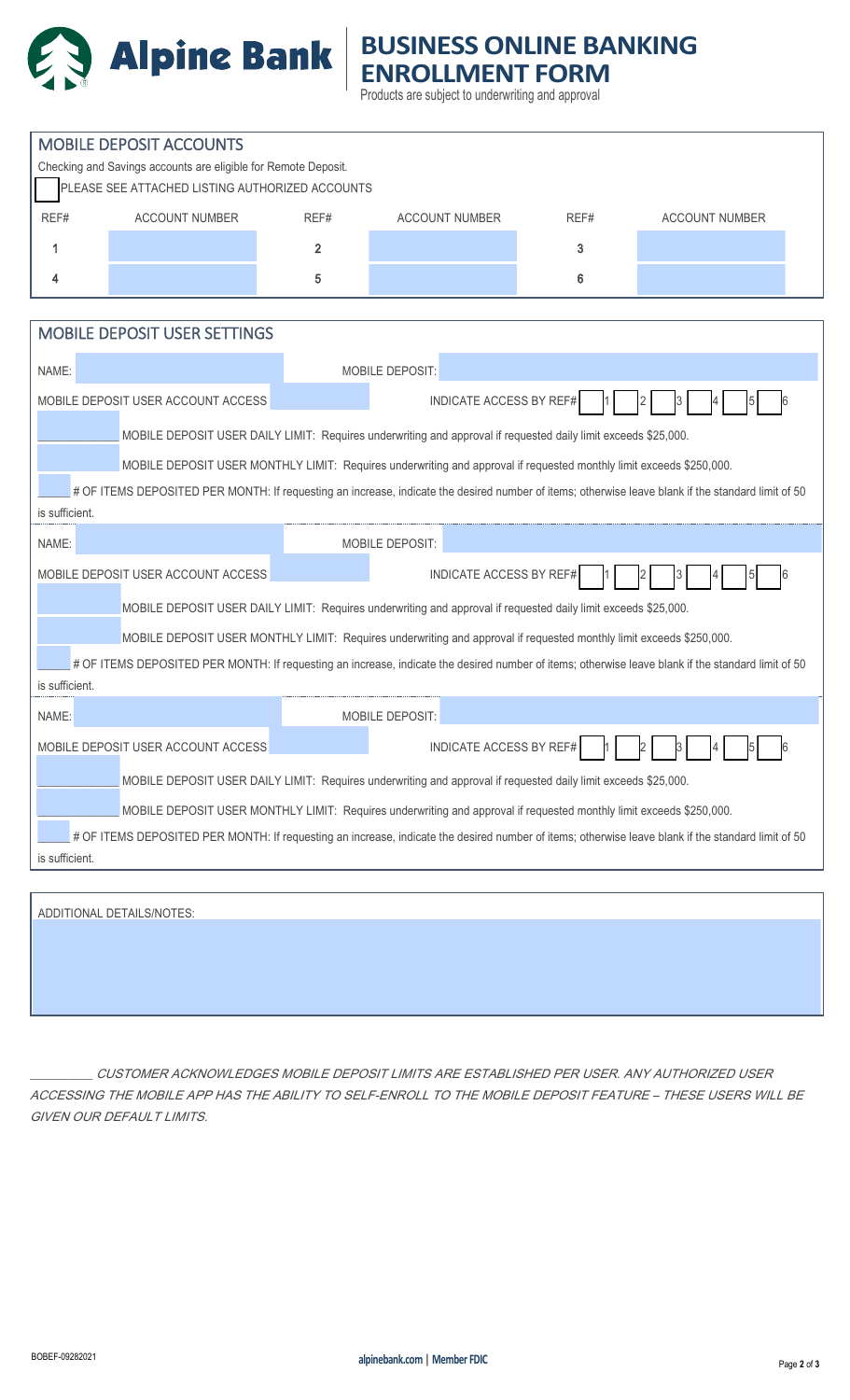

## **BUSINESS ONLINE BANKING ENROLLMENT FORM**

Products are subject to underwriting and approval

| <b>MOBILE DEPOSIT ACCOUNTS</b>                                                                                                                                       |                                                                      |                 |                                |      |                       |  |  |
|----------------------------------------------------------------------------------------------------------------------------------------------------------------------|----------------------------------------------------------------------|-----------------|--------------------------------|------|-----------------------|--|--|
| Checking and Savings accounts are eligible for Remote Deposit.<br>PLEASE SEE ATTACHED LISTING AUTHORIZED ACCOUNTS                                                    |                                                                      |                 |                                |      |                       |  |  |
|                                                                                                                                                                      |                                                                      |                 |                                |      |                       |  |  |
| REF#                                                                                                                                                                 | <b>ACCOUNT NUMBER</b>                                                | REF#            | <b>ACCOUNT NUMBER</b>          | REF# | <b>ACCOUNT NUMBER</b> |  |  |
| 1                                                                                                                                                                    |                                                                      | $\overline{2}$  |                                | 3    |                       |  |  |
| 4                                                                                                                                                                    |                                                                      | 5               |                                | 6    |                       |  |  |
|                                                                                                                                                                      |                                                                      |                 |                                |      |                       |  |  |
| <b>MOBILE DEPOSIT USER SETTINGS</b>                                                                                                                                  |                                                                      |                 |                                |      |                       |  |  |
| NAME:                                                                                                                                                                |                                                                      | MOBILE DEPOSIT: |                                |      |                       |  |  |
|                                                                                                                                                                      | <b>INDICATE ACCESS BY REF#</b><br>MOBILE DEPOSIT USER ACCOUNT ACCESS |                 |                                |      |                       |  |  |
|                                                                                                                                                                      |                                                                      |                 |                                |      |                       |  |  |
| MOBILE DEPOSIT USER DAILY LIMIT: Requires underwriting and approval if requested daily limit exceeds \$25,000.                                                       |                                                                      |                 |                                |      |                       |  |  |
| MOBILE DEPOSIT USER MONTHLY LIMIT: Requires underwriting and approval if requested monthly limit exceeds \$250,000.                                                  |                                                                      |                 |                                |      |                       |  |  |
| # OF ITEMS DEPOSITED PER MONTH: If requesting an increase, indicate the desired number of items; otherwise leave blank if the standard limit of 50<br>is sufficient. |                                                                      |                 |                                |      |                       |  |  |
|                                                                                                                                                                      |                                                                      |                 |                                |      |                       |  |  |
| NAME:<br>MOBILE DEPOSIT:                                                                                                                                             |                                                                      |                 |                                |      |                       |  |  |
|                                                                                                                                                                      | MOBILE DEPOSIT USER ACCOUNT ACCESS                                   |                 | <b>INDICATE ACCESS BY REF#</b> |      |                       |  |  |
| MOBILE DEPOSIT USER DAILY LIMIT: Requires underwriting and approval if requested daily limit exceeds \$25,000.                                                       |                                                                      |                 |                                |      |                       |  |  |
| MOBILE DEPOSIT USER MONTHLY LIMIT: Requires underwriting and approval if requested monthly limit exceeds \$250,000.                                                  |                                                                      |                 |                                |      |                       |  |  |
| # OF ITEMS DEPOSITED PER MONTH: If requesting an increase, indicate the desired number of items; otherwise leave blank if the standard limit of 50                   |                                                                      |                 |                                |      |                       |  |  |
| is sufficient.                                                                                                                                                       |                                                                      |                 |                                |      |                       |  |  |
| NAME:                                                                                                                                                                |                                                                      |                 | <b>MOBILE DEPOSIT:</b>         |      |                       |  |  |
|                                                                                                                                                                      | MOBILE DEPOSIT USER ACCOUNT ACCESS                                   |                 | INDICATE ACCESS BY REF#        |      | 4 <br>$\overline{5}$  |  |  |
| MOBILE DEPOSIT USER DAILY LIMIT: Requires underwriting and approval if requested daily limit exceeds \$25,000.                                                       |                                                                      |                 |                                |      |                       |  |  |
| MOBILE DEPOSIT USER MONTHLY LIMIT: Requires underwriting and approval if requested monthly limit exceeds \$250,000.                                                  |                                                                      |                 |                                |      |                       |  |  |
| # OF ITEMS DEPOSITED PER MONTH: If requesting an increase, indicate the desired number of items; otherwise leave blank if the standard limit of 50                   |                                                                      |                 |                                |      |                       |  |  |
| is sufficient.                                                                                                                                                       |                                                                      |                 |                                |      |                       |  |  |
|                                                                                                                                                                      |                                                                      |                 |                                |      |                       |  |  |
| ADDITIONAL DETAILS/NOTES:                                                                                                                                            |                                                                      |                 |                                |      |                       |  |  |
|                                                                                                                                                                      |                                                                      |                 |                                |      |                       |  |  |
|                                                                                                                                                                      |                                                                      |                 |                                |      |                       |  |  |

\_\_\_\_\_\_\_\_\_\_ CUSTOMER ACKNOWLEDGES MOBILE DEPOSIT LIMITS ARE ESTABLISHED PER USER. ANY AUTHORIZED USER ACCESSING THE MOBILE APP HAS THE ABILITY TO SELF-ENROLL TO THE MOBILE DEPOSIT FEATURE – THESE USERS WILL BE GIVEN OUR DEFAULT LIMITS.